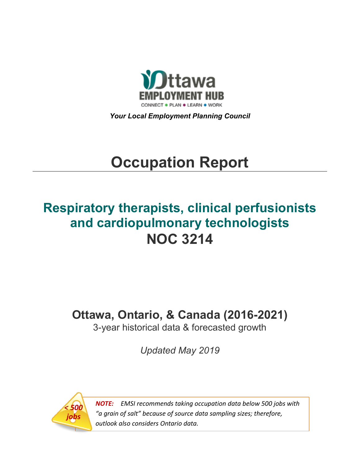

*Your Local Employment Planning Council*

# **Occupation Report**

## **Respiratory therapists, clinical perfusionists and cardiopulmonary technologists NOC 3214**

## **Ottawa, Ontario, & Canada (2016-2021)**

3-year historical data & forecasted growth

*Updated May 2019*



*NOTE: EMSI recommends taking occupation data below 500 jobs with "a grain of salt" because of source data sampling sizes; therefore, outlook also considers Ontario data.*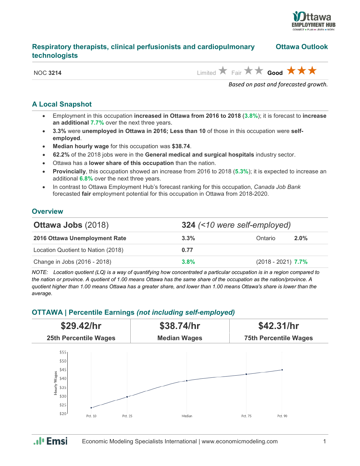

## **Respiratory therapists, clinical perfusionists and cardiopulmonary Ottawa Outlook technologists**

NOC 3214 **Limited A** Fair **A** Good **A A** 

*Based on past and forecasted growth.*

## **A Local Snapshot**

- Employment in this occupation **increased in Ottawa from 2016 to 2018** (**3.8%**); it is forecast to **increase an additional 7.7%** over the next three years.
- **3.3%** were **unemployed in Ottawa in 2016; Less than 10** of those in this occupation were **selfemployed**.
- **Median hourly wage** for this occupation was **\$38.74**.
- **62.2%** of the 2018 jobs were in the **General medical and surgical hospitals** industry sector.
- Ottawa has a **lower share of this occupation** than the nation.
- **Provincially**, this occupation showed an increase from 2016 to 2018 (**5.3%**); it is expected to increase an additional **6.8%** over the next three years.
- In contrast to Ottawa Employment Hub's forecast ranking for this occupation, *Canada Job Bank*  forecasted **fair** employment potential for this occupation in Ottawa from 2018-2020.

### **Overview**

| <b>Ottawa Jobs (2018)</b>          | 324 (<10 were self-employed) |                      |         |
|------------------------------------|------------------------------|----------------------|---------|
| 2016 Ottawa Unemployment Rate      | $3.3\%$                      | Ontario              | $2.0\%$ |
| Location Quotient to Nation (2018) | 0.77                         |                      |         |
| Change in Jobs (2016 - 2018)       | $3.8\%$                      | $(2018 - 2021)$ 7.7% |         |

*NOTE: Location quotient (LQ) is a way of quantifying how concentrated a particular occupation is in a region compared to the nation or province. A quotient of 1.00 means Ottawa has the same share of the occupation as the nation/province. A quotient higher than 1.00 means Ottawa has a greater share, and lower than 1.00 means Ottawa's share is lower than the average.*

## **OTTAWA | Percentile Earnings** *(not including self-employed)*



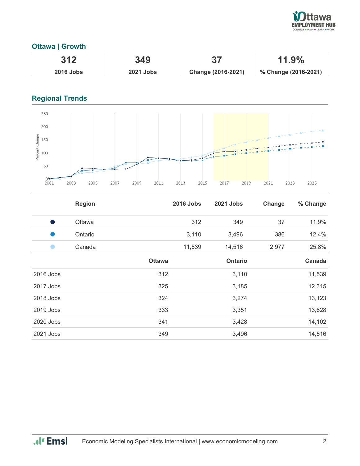

## **Ottawa | Growth**

| 312              | 349              |                    | $11.9\%$             |  |
|------------------|------------------|--------------------|----------------------|--|
| <b>2016 Jobs</b> | <b>2021 Jobs</b> | Change (2016-2021) | % Change (2016-2021) |  |

## **Regional Trends**



|           | <b>Region</b> |               | <b>2016 Jobs</b> | <b>2021 Jobs</b> | Change | % Change |
|-----------|---------------|---------------|------------------|------------------|--------|----------|
| Ð         | Ottawa        |               | 312              | 349              | 37     | 11.9%    |
|           | Ontario       |               | 3,110            | 3,496            | 386    | 12.4%    |
|           | Canada        |               | 11,539           | 14,516           | 2,977  | 25.8%    |
|           |               | <b>Ottawa</b> |                  | <b>Ontario</b>   |        | Canada   |
| 2016 Jobs |               | 312           |                  | 3,110            |        | 11,539   |
| 2017 Jobs |               | 325           |                  | 3,185            |        | 12,315   |
| 2018 Jobs |               | 324           |                  | 3,274            |        | 13,123   |
| 2019 Jobs |               | 333           |                  | 3,351            |        | 13,628   |
| 2020 Jobs |               | 341           |                  | 3,428            |        | 14,102   |
| 2021 Jobs |               | 349           |                  | 3,496            |        | 14,516   |

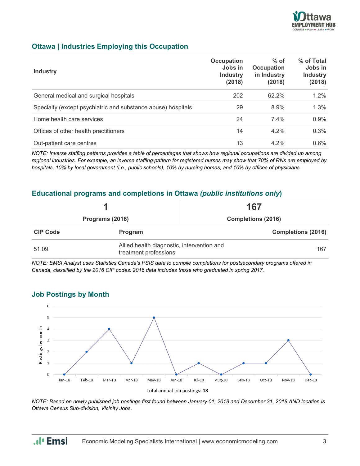

## **Ottawa | Industries Employing this Occupation**

| <b>Industry</b>                                              | Occupation<br>Jobs in<br><b>Industry</b><br>(2018) | $%$ of<br>Occupation<br>in Industry<br>(2018) | % of Total<br>Jobs in<br><b>Industry</b><br>(2018) |
|--------------------------------------------------------------|----------------------------------------------------|-----------------------------------------------|----------------------------------------------------|
| General medical and surgical hospitals                       | 202                                                | 62.2%                                         | 1.2%                                               |
| Specialty (except psychiatric and substance abuse) hospitals | 29                                                 | 8.9%                                          | 1.3%                                               |
| Home health care services                                    | 24                                                 | 7.4%                                          | $0.9\%$                                            |
| Offices of other health practitioners                        | 14                                                 | $4.2\%$                                       | 0.3%                                               |
| Out-patient care centres                                     | 13                                                 | $4.2\%$                                       | $0.6\%$                                            |

*NOTE: Inverse staffing patterns provides a table of percentages that shows how regional occupations are divided up among regional industries. For example, an inverse staffing pattern for registered nurses may show that 70% of RNs are employed by hospitals, 10% by local government (i.e., public schools), 10% by nursing homes, and 10% by offices of physicians.*

## **Educational programs and completions in Ottawa** *(public institutions only***)**

|                 |                                                                     | 167                       |  |
|-----------------|---------------------------------------------------------------------|---------------------------|--|
| Programs (2016) |                                                                     | <b>Completions (2016)</b> |  |
| <b>CIP Code</b> | Program                                                             | <b>Completions (2016)</b> |  |
| 51.09           | Allied health diagnostic, intervention and<br>treatment professions | 167                       |  |

*NOTE: EMSI Analyst uses Statistics Canada's PSIS data to compile completions for postsecondary programs offered in Canada, classified by the 2016 CIP codes. 2016 data includes those who graduated in spring 2017.*

### **Job Postings by Month**

.. I<sup>I</sup> Emsi



*NOTE: Based on newly published job postings first found between January 01, 2018 and December 31, 2018 AND location is Ottawa Census Sub-division, Vicinity Jobs.*